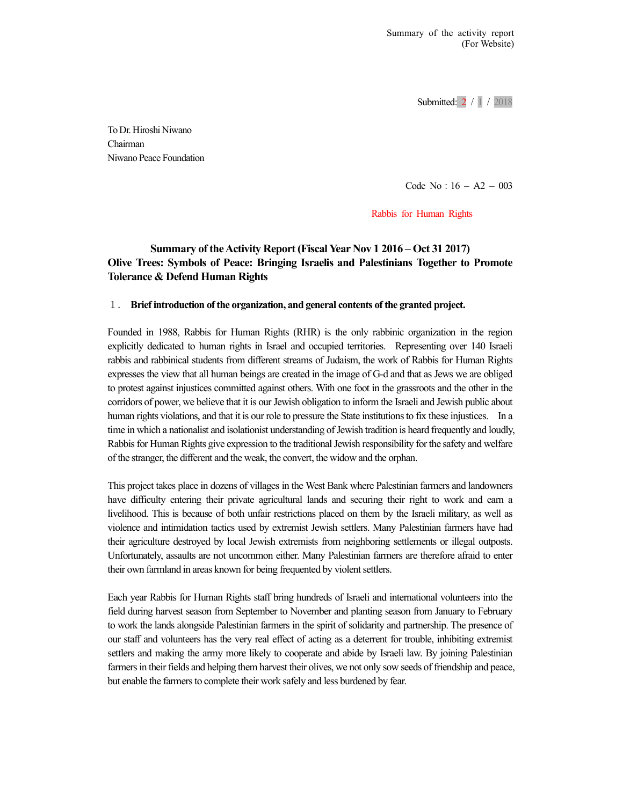Submitted: 2 / 1 / 2018

To Dr. Hiroshi Niwano Chairman Niwano Peace Foundation

Code No:16 – A2 – 003

Rabbis for Human Rights

## Summary of the Activity Report (Fiscal Year Nov 1 2016 – Oct 31 2017) Olive Trees: Symbols of Peace: Bringing Israelis and Palestinians Together to Promote Tolerance & Defend Human Rights

## 1. Brief introduction of the organization, and general contents of the granted project.

Founded in 1988, Rabbis for Human Rights (RHR) is the only rabbinic organization in the region explicitly dedicated to human rights in Israel and occupied territories. Representing over 140 Israeli rabbis and rabbinical students from different streams of Judaism, the work of Rabbis for Human Rights expresses the view that all human beings are created in the image of G-d and that as Jews we are obliged to protest against injustices committed against others. With one foot in the grassroots and the other in the corridors of power, we believe that it is our Jewish obligation to inform the Israeli and Jewish public about human rights violations, and that it is our role to pressure the State institutions to fix these injustices. In a time in which a nationalist and isolationist understanding of Jewish tradition is heard frequently and loudly, Rabbis for Human Rights give expression to the traditional Jewish responsibility for the safety and welfare of the stranger, the different and the weak, the convert, the widow and the orphan.

This project takes place in dozens of villages in the West Bank where Palestinian farmers and landowners have difficulty entering their private agricultural lands and securing their right to work and earn a livelihood. This is because of both unfair restrictions placed on them by the Israeli military, as well as violence and intimidation tactics used by extremist Jewish settlers. Many Palestinian farmers have had their agriculture destroyed by local Jewish extremists from neighboring settlements or illegal outposts. Unfortunately, assaults are not uncommon either. Many Palestinian farmers are therefore afraid to enter their own farmland in areas known for being frequented by violent settlers.

Each year Rabbis for Human Rights staff bring hundreds of Israeli and international volunteers into the field during harvest season from September to November and planting season from January to February to work the lands alongside Palestinian farmers in the spirit of solidarity and partnership. The presence of our staff and volunteers has the very real effect of acting as a deterrent for trouble, inhibiting extremist settlers and making the army more likely to cooperate and abide by Israeli law. By joining Palestinian farmers in their fields and helping them harvest their olives, we not only sow seeds of friendship and peace, but enable the farmers to complete their work safely and less burdened by fear.